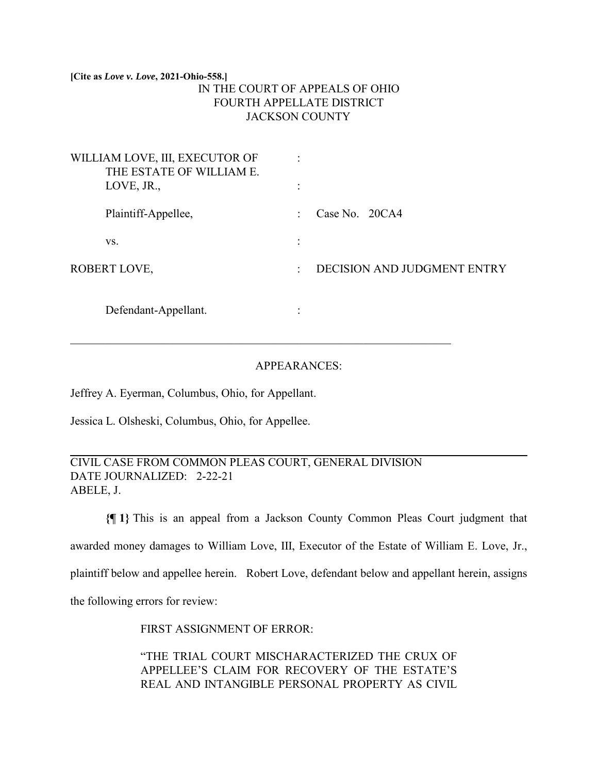### **[Cite as** *Love v. Love***, 2021-Ohio-558.]**

## IN THE COURT OF APPEALS OF OHIO FOURTH APPELLATE DISTRICT JACKSON COUNTY

| WILLIAM LOVE, III, EXECUTOR OF<br>THE ESTATE OF WILLIAM E.<br>LOVE, JR., | ٠<br>٠                      |
|--------------------------------------------------------------------------|-----------------------------|
| Plaintiff-Appellee,                                                      | Case No. 20CA4<br>÷         |
| VS.                                                                      | ٠                           |
| ROBERT LOVE,                                                             | DECISION AND JUDGMENT ENTRY |
| Defendant-Appellant.                                                     |                             |

## APPEARANCES:

Jeffrey A. Eyerman, Columbus, Ohio, for Appellant.

Jessica L. Olsheski, Columbus, Ohio, for Appellee.

## CIVIL CASE FROM COMMON PLEAS COURT, GENERAL DIVISION DATE JOURNALIZED: 2-22-21 ABELE, J.

 $\mathcal{L}_\mathcal{L} = \mathcal{L}_\mathcal{L} = \mathcal{L}_\mathcal{L} = \mathcal{L}_\mathcal{L} = \mathcal{L}_\mathcal{L} = \mathcal{L}_\mathcal{L} = \mathcal{L}_\mathcal{L} = \mathcal{L}_\mathcal{L} = \mathcal{L}_\mathcal{L} = \mathcal{L}_\mathcal{L} = \mathcal{L}_\mathcal{L} = \mathcal{L}_\mathcal{L} = \mathcal{L}_\mathcal{L} = \mathcal{L}_\mathcal{L} = \mathcal{L}_\mathcal{L} = \mathcal{L}_\mathcal{L} = \mathcal{L}_\mathcal{L}$ 

**{¶ 1}** This is an appeal from a Jackson County Common Pleas Court judgment that awarded money damages to William Love, III, Executor of the Estate of William E. Love, Jr., plaintiff below and appellee herein. Robert Love, defendant below and appellant herein, assigns the following errors for review:

FIRST ASSIGNMENT OF ERROR:

"THE TRIAL COURT MISCHARACTERIZED THE CRUX OF APPELLEE'S CLAIM FOR RECOVERY OF THE ESTATE'S REAL AND INTANGIBLE PERSONAL PROPERTY AS CIVIL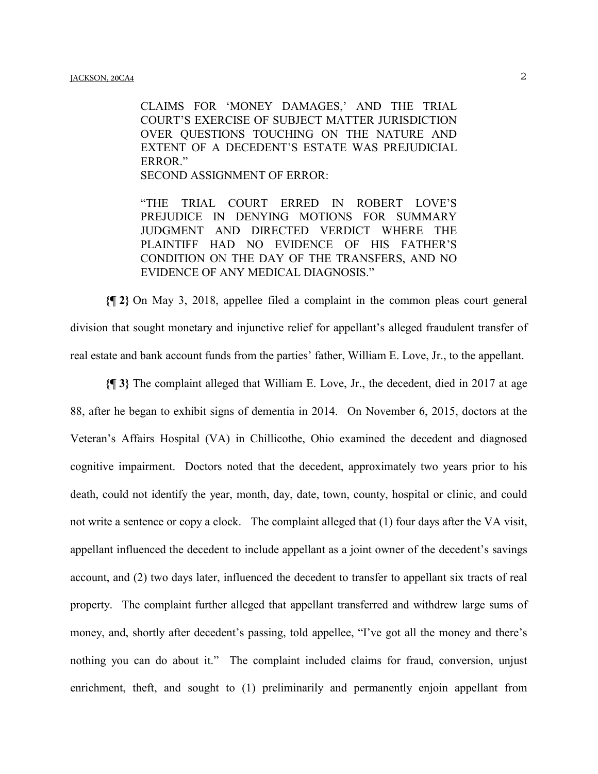CLAIMS FOR 'MONEY DAMAGES,' AND THE TRIAL COURT'S EXERCISE OF SUBJECT MATTER JURISDICTION OVER QUESTIONS TOUCHING ON THE NATURE AND EXTENT OF A DECEDENT'S ESTATE WAS PREJUDICIAL ERROR." SECOND ASSIGNMENT OF ERROR:

"THE TRIAL COURT ERRED IN ROBERT LOVE'S PREJUDICE IN DENYING MOTIONS FOR SUMMARY JUDGMENT AND DIRECTED VERDICT WHERE THE PLAINTIFF HAD NO EVIDENCE OF HIS FATHER'S CONDITION ON THE DAY OF THE TRANSFERS, AND NO EVIDENCE OF ANY MEDICAL DIAGNOSIS."

**{¶ 2}** On May 3, 2018, appellee filed a complaint in the common pleas court general division that sought monetary and injunctive relief for appellant's alleged fraudulent transfer of real estate and bank account funds from the parties' father, William E. Love, Jr., to the appellant.

**{¶ 3}** The complaint alleged that William E. Love, Jr., the decedent, died in 2017 at age 88, after he began to exhibit signs of dementia in 2014. On November 6, 2015, doctors at the Veteran's Affairs Hospital (VA) in Chillicothe, Ohio examined the decedent and diagnosed cognitive impairment. Doctors noted that the decedent, approximately two years prior to his death, could not identify the year, month, day, date, town, county, hospital or clinic, and could not write a sentence or copy a clock. The complaint alleged that (1) four days after the VA visit, appellant influenced the decedent to include appellant as a joint owner of the decedent's savings account, and (2) two days later, influenced the decedent to transfer to appellant six tracts of real property. The complaint further alleged that appellant transferred and withdrew large sums of money, and, shortly after decedent's passing, told appellee, "I've got all the money and there's nothing you can do about it." The complaint included claims for fraud, conversion, unjust enrichment, theft, and sought to (1) preliminarily and permanently enjoin appellant from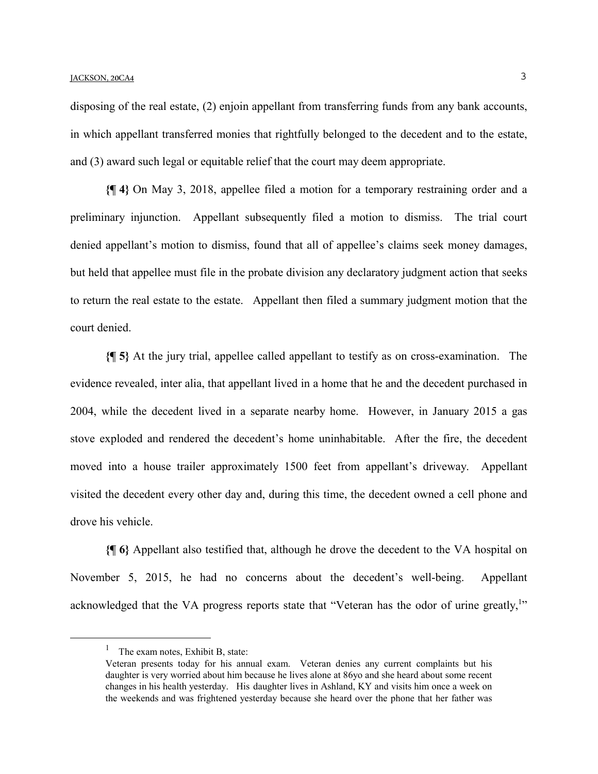## $\text{JACKSON}, 20\text{CA4}$

disposing of the real estate, (2) enjoin appellant from transferring funds from any bank accounts, in which appellant transferred monies that rightfully belonged to the decedent and to the estate, and (3) award such legal or equitable relief that the court may deem appropriate.

**{¶ 4}** On May 3, 2018, appellee filed a motion for a temporary restraining order and a preliminary injunction. Appellant subsequently filed a motion to dismiss. The trial court denied appellant's motion to dismiss, found that all of appellee's claims seek money damages, but held that appellee must file in the probate division any declaratory judgment action that seeks to return the real estate to the estate. Appellant then filed a summary judgment motion that the court denied.

**{¶ 5}** At the jury trial, appellee called appellant to testify as on cross-examination. The evidence revealed, inter alia, that appellant lived in a home that he and the decedent purchased in 2004, while the decedent lived in a separate nearby home. However, in January 2015 a gas stove exploded and rendered the decedent's home uninhabitable. After the fire, the decedent moved into a house trailer approximately 1500 feet from appellant's driveway. Appellant visited the decedent every other day and, during this time, the decedent owned a cell phone and drove his vehicle.

**{¶ 6}** Appellant also testified that, although he drove the decedent to the VA hospital on November 5, 2015, he had no concerns about the decedent's well-being. Appellant acknowledged that the VA progress reports state that "Veteran has the odor of urine greatly,<sup>1</sup>"

 $\frac{1}{1}$ <sup>1</sup> The exam notes, Exhibit B, state:

Veteran presents today for his annual exam. Veteran denies any current complaints but his daughter is very worried about him because he lives alone at 86yo and she heard about some recent changes in his health yesterday. His daughter lives in Ashland, KY and visits him once a week on the weekends and was frightened yesterday because she heard over the phone that her father was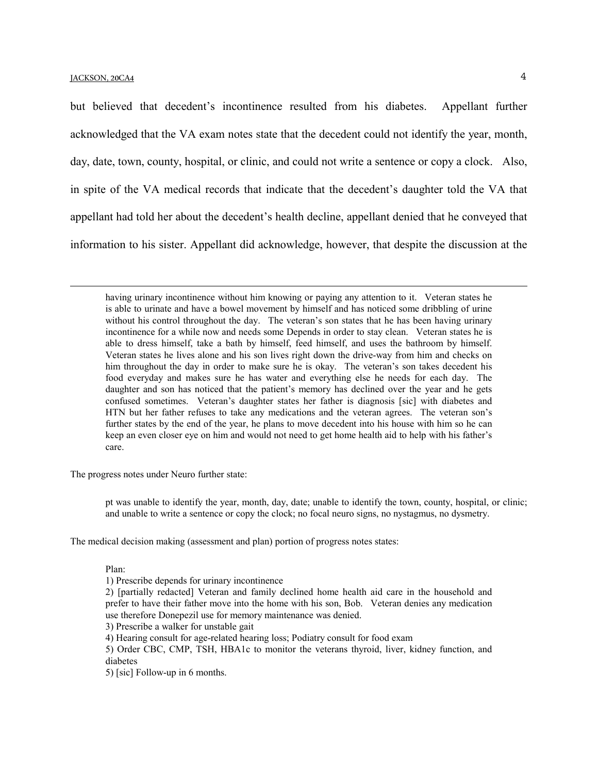$\overline{a}$ 

but believed that decedent's incontinence resulted from his diabetes. Appellant further acknowledged that the VA exam notes state that the decedent could not identify the year, month, day, date, town, county, hospital, or clinic, and could not write a sentence or copy a clock. Also, in spite of the VA medical records that indicate that the decedent's daughter told the VA that appellant had told her about the decedent's health decline, appellant denied that he conveyed that information to his sister. Appellant did acknowledge, however, that despite the discussion at the

having urinary incontinence without him knowing or paying any attention to it. Veteran states he is able to urinate and have a bowel movement by himself and has noticed some dribbling of urine without his control throughout the day. The veteran's son states that he has been having urinary incontinence for a while now and needs some Depends in order to stay clean. Veteran states he is able to dress himself, take a bath by himself, feed himself, and uses the bathroom by himself. Veteran states he lives alone and his son lives right down the drive-way from him and checks on him throughout the day in order to make sure he is okay. The veteran's son takes decedent his food everyday and makes sure he has water and everything else he needs for each day. The daughter and son has noticed that the patient's memory has declined over the year and he gets confused sometimes. Veteran's daughter states her father is diagnosis [sic] with diabetes and HTN but her father refuses to take any medications and the veteran agrees. The veteran son's further states by the end of the year, he plans to move decedent into his house with him so he can keep an even closer eye on him and would not need to get home health aid to help with his father's care.

The progress notes under Neuro further state:

pt was unable to identify the year, month, day, date; unable to identify the town, county, hospital, or clinic; and unable to write a sentence or copy the clock; no focal neuro signs, no nystagmus, no dysmetry.

The medical decision making (assessment and plan) portion of progress notes states:

#### Plan:

1) Prescribe depends for urinary incontinence

3) Prescribe a walker for unstable gait

4) Hearing consult for age-related hearing loss; Podiatry consult for food exam

5) Order CBC, CMP, TSH, HBA1c to monitor the veterans thyroid, liver, kidney function, and diabetes

5) [sic] Follow-up in 6 months.

<sup>2) [</sup>partially redacted] Veteran and family declined home health aid care in the household and prefer to have their father move into the home with his son, Bob. Veteran denies any medication use therefore Donepezil use for memory maintenance was denied.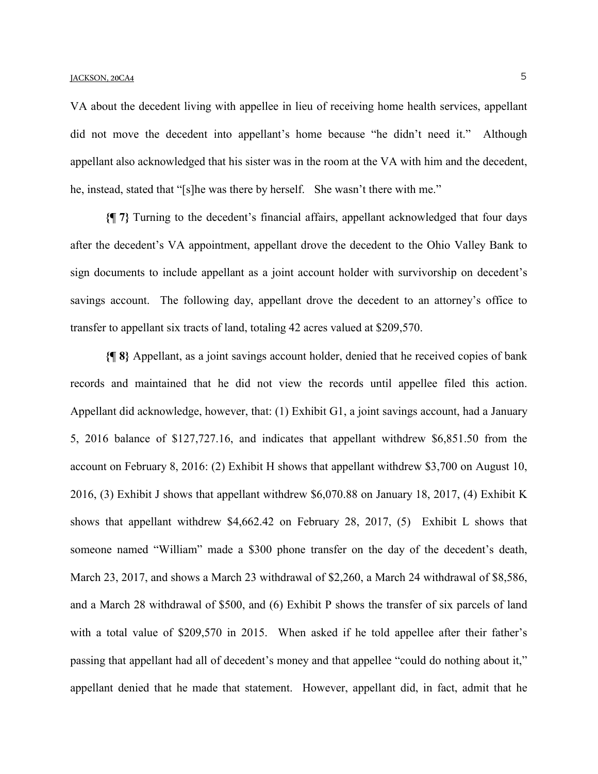VA about the decedent living with appellee in lieu of receiving home health services, appellant did not move the decedent into appellant's home because "he didn't need it." Although appellant also acknowledged that his sister was in the room at the VA with him and the decedent, he, instead, stated that "[s]he was there by herself. She wasn't there with me."

**{¶ 7}** Turning to the decedent's financial affairs, appellant acknowledged that four days after the decedent's VA appointment, appellant drove the decedent to the Ohio Valley Bank to sign documents to include appellant as a joint account holder with survivorship on decedent's savings account. The following day, appellant drove the decedent to an attorney's office to transfer to appellant six tracts of land, totaling 42 acres valued at \$209,570.

**{¶ 8}** Appellant, as a joint savings account holder, denied that he received copies of bank records and maintained that he did not view the records until appellee filed this action. Appellant did acknowledge, however, that: (1) Exhibit G1, a joint savings account, had a January 5, 2016 balance of \$127,727.16, and indicates that appellant withdrew \$6,851.50 from the account on February 8, 2016: (2) Exhibit H shows that appellant withdrew \$3,700 on August 10, 2016, (3) Exhibit J shows that appellant withdrew \$6,070.88 on January 18, 2017, (4) Exhibit K shows that appellant withdrew \$4,662.42 on February 28, 2017, (5) Exhibit L shows that someone named "William" made a \$300 phone transfer on the day of the decedent's death, March 23, 2017, and shows a March 23 withdrawal of \$2,260, a March 24 withdrawal of \$8,586, and a March 28 withdrawal of \$500, and (6) Exhibit P shows the transfer of six parcels of land with a total value of \$209,570 in 2015. When asked if he told appellee after their father's passing that appellant had all of decedent's money and that appellee "could do nothing about it," appellant denied that he made that statement. However, appellant did, in fact, admit that he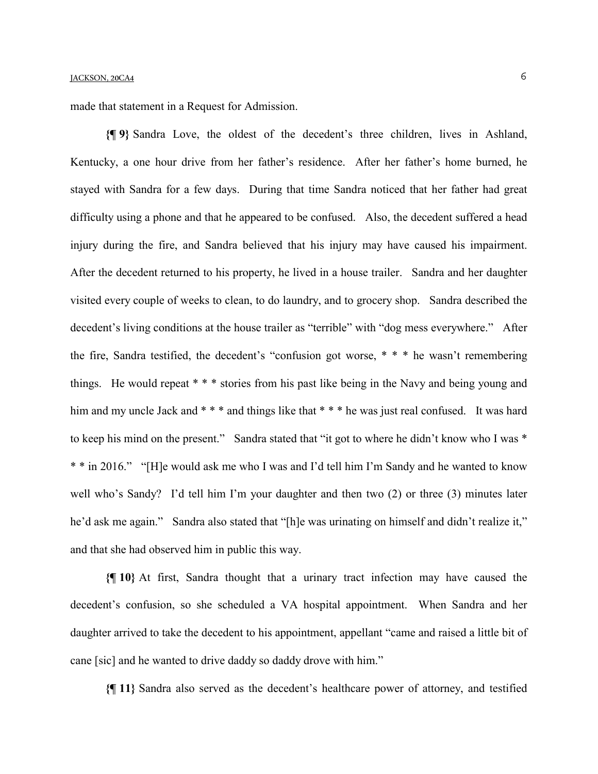made that statement in a Request for Admission.

**{¶ 9}** Sandra Love, the oldest of the decedent's three children, lives in Ashland, Kentucky, a one hour drive from her father's residence. After her father's home burned, he stayed with Sandra for a few days. During that time Sandra noticed that her father had great difficulty using a phone and that he appeared to be confused. Also, the decedent suffered a head injury during the fire, and Sandra believed that his injury may have caused his impairment. After the decedent returned to his property, he lived in a house trailer. Sandra and her daughter visited every couple of weeks to clean, to do laundry, and to grocery shop. Sandra described the decedent's living conditions at the house trailer as "terrible" with "dog mess everywhere." After the fire, Sandra testified, the decedent's "confusion got worse, \* \* \* he wasn't remembering things. He would repeat \* \* \* stories from his past like being in the Navy and being young and him and my uncle Jack and \* \* \* and things like that \* \* \* he was just real confused. It was hard to keep his mind on the present." Sandra stated that "it got to where he didn't know who I was \* \* \* in 2016." "[H]e would ask me who I was and I'd tell him I'm Sandy and he wanted to know well who's Sandy? I'd tell him I'm your daughter and then two (2) or three (3) minutes later he'd ask me again." Sandra also stated that "[h]e was urinating on himself and didn't realize it," and that she had observed him in public this way.

**{¶ 10}** At first, Sandra thought that a urinary tract infection may have caused the decedent's confusion, so she scheduled a VA hospital appointment. When Sandra and her daughter arrived to take the decedent to his appointment, appellant "came and raised a little bit of cane [sic] and he wanted to drive daddy so daddy drove with him."

**{¶ 11}** Sandra also served as the decedent's healthcare power of attorney, and testified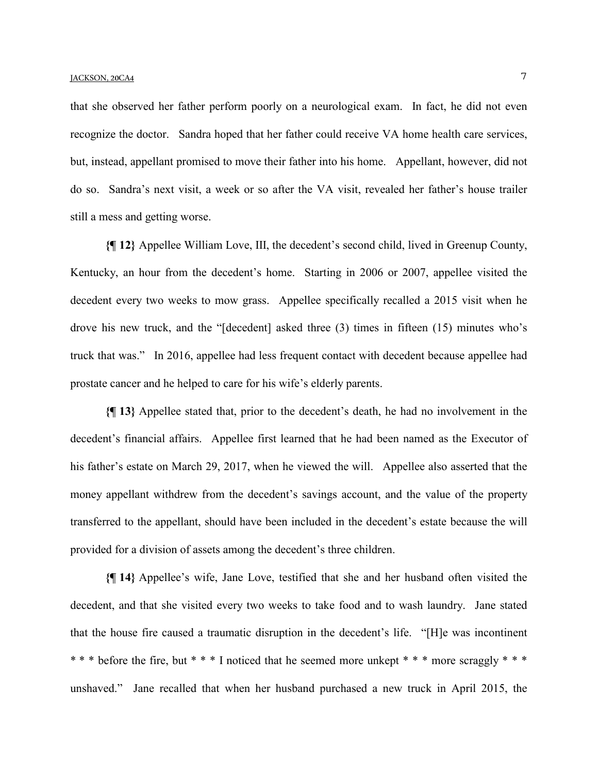that she observed her father perform poorly on a neurological exam. In fact, he did not even recognize the doctor. Sandra hoped that her father could receive VA home health care services, but, instead, appellant promised to move their father into his home. Appellant, however, did not do so. Sandra's next visit, a week or so after the VA visit, revealed her father's house trailer still a mess and getting worse.

**{¶ 12}** Appellee William Love, III, the decedent's second child, lived in Greenup County, Kentucky, an hour from the decedent's home. Starting in 2006 or 2007, appellee visited the decedent every two weeks to mow grass. Appellee specifically recalled a 2015 visit when he drove his new truck, and the "[decedent] asked three (3) times in fifteen (15) minutes who's truck that was." In 2016, appellee had less frequent contact with decedent because appellee had prostate cancer and he helped to care for his wife's elderly parents.

**{¶ 13}** Appellee stated that, prior to the decedent's death, he had no involvement in the decedent's financial affairs. Appellee first learned that he had been named as the Executor of his father's estate on March 29, 2017, when he viewed the will. Appellee also asserted that the money appellant withdrew from the decedent's savings account, and the value of the property transferred to the appellant, should have been included in the decedent's estate because the will provided for a division of assets among the decedent's three children.

**{¶ 14}** Appellee's wife, Jane Love, testified that she and her husband often visited the decedent, and that she visited every two weeks to take food and to wash laundry. Jane stated that the house fire caused a traumatic disruption in the decedent's life. "[H]e was incontinent \*\*\* before the fire, but \*\*\* I noticed that he seemed more unkept \*\*\* more scraggly \*\*\* unshaved." Jane recalled that when her husband purchased a new truck in April 2015, the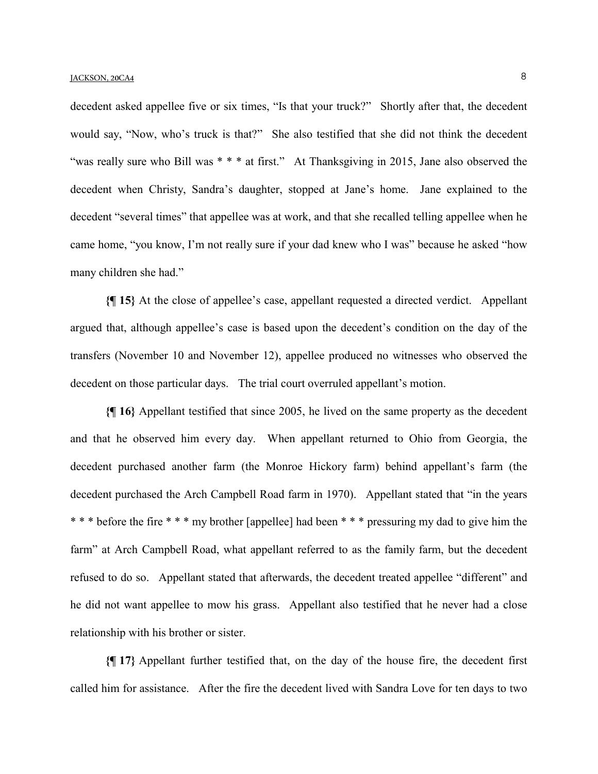decedent asked appellee five or six times, "Is that your truck?" Shortly after that, the decedent would say, "Now, who's truck is that?" She also testified that she did not think the decedent "was really sure who Bill was  $* * *$  at first." At Thanksgiving in 2015, Jane also observed the decedent when Christy, Sandra's daughter, stopped at Jane's home. Jane explained to the decedent "several times" that appellee was at work, and that she recalled telling appellee when he came home, "you know, I'm not really sure if your dad knew who I was" because he asked "how many children she had."

**{¶ 15}** At the close of appellee's case, appellant requested a directed verdict. Appellant argued that, although appellee's case is based upon the decedent's condition on the day of the transfers (November 10 and November 12), appellee produced no witnesses who observed the decedent on those particular days. The trial court overruled appellant's motion.

**{¶ 16}** Appellant testified that since 2005, he lived on the same property as the decedent and that he observed him every day. When appellant returned to Ohio from Georgia, the decedent purchased another farm (the Monroe Hickory farm) behind appellant's farm (the decedent purchased the Arch Campbell Road farm in 1970). Appellant stated that "in the years \* \* \* before the fire \* \* \* my brother [appellee] had been \* \* \* pressuring my dad to give him the farm" at Arch Campbell Road, what appellant referred to as the family farm, but the decedent refused to do so. Appellant stated that afterwards, the decedent treated appellee "different" and he did not want appellee to mow his grass. Appellant also testified that he never had a close relationship with his brother or sister.

**{¶ 17}** Appellant further testified that, on the day of the house fire, the decedent first called him for assistance. After the fire the decedent lived with Sandra Love for ten days to two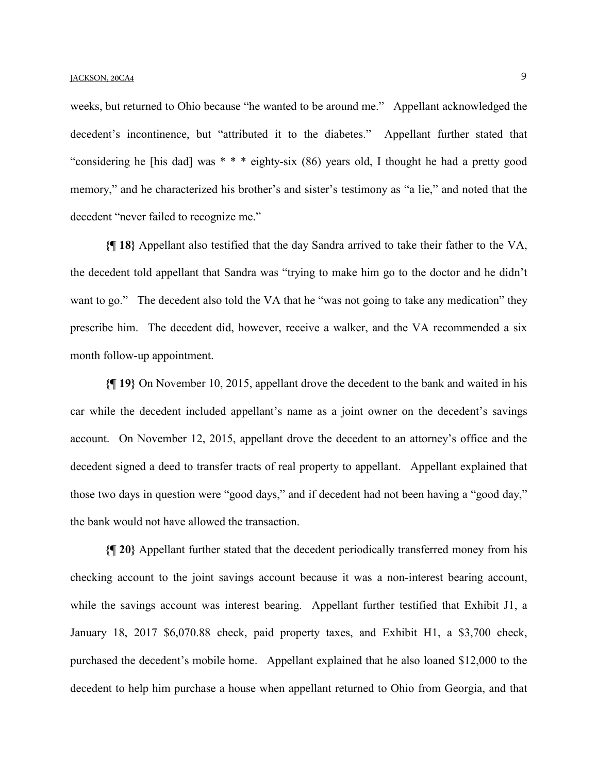weeks, but returned to Ohio because "he wanted to be around me." Appellant acknowledged the decedent's incontinence, but "attributed it to the diabetes." Appellant further stated that "considering he [his dad] was \* \* \* eighty-six (86) years old, I thought he had a pretty good memory," and he characterized his brother's and sister's testimony as "a lie," and noted that the decedent "never failed to recognize me."

**{¶ 18}** Appellant also testified that the day Sandra arrived to take their father to the VA, the decedent told appellant that Sandra was "trying to make him go to the doctor and he didn't want to go." The decedent also told the VA that he "was not going to take any medication" they prescribe him. The decedent did, however, receive a walker, and the VA recommended a six month follow-up appointment.

**{¶ 19}** On November 10, 2015, appellant drove the decedent to the bank and waited in his car while the decedent included appellant's name as a joint owner on the decedent's savings account. On November 12, 2015, appellant drove the decedent to an attorney's office and the decedent signed a deed to transfer tracts of real property to appellant. Appellant explained that those two days in question were "good days," and if decedent had not been having a "good day," the bank would not have allowed the transaction.

**{¶ 20}** Appellant further stated that the decedent periodically transferred money from his checking account to the joint savings account because it was a non-interest bearing account, while the savings account was interest bearing. Appellant further testified that Exhibit J1, a January 18, 2017 \$6,070.88 check, paid property taxes, and Exhibit H1, a \$3,700 check, purchased the decedent's mobile home. Appellant explained that he also loaned \$12,000 to the decedent to help him purchase a house when appellant returned to Ohio from Georgia, and that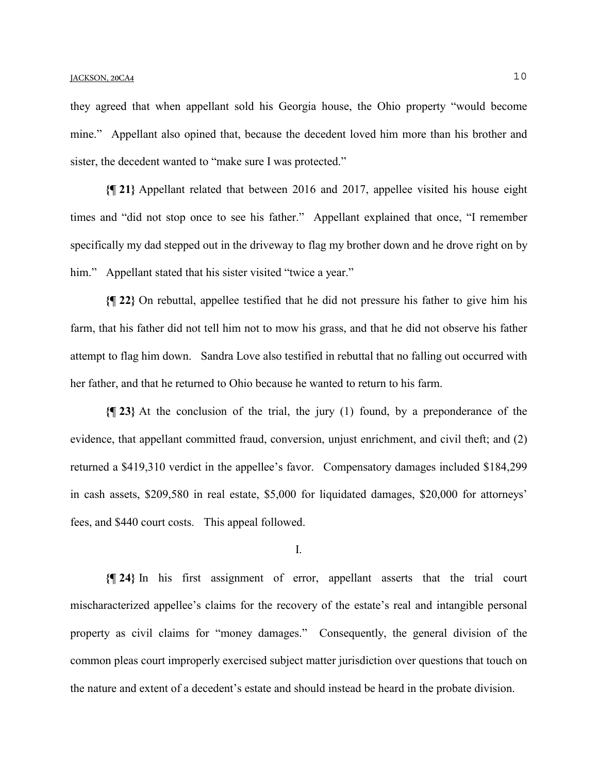## $\overline{ACKSON}$ , 20CA4 10

they agreed that when appellant sold his Georgia house, the Ohio property "would become mine." Appellant also opined that, because the decedent loved him more than his brother and sister, the decedent wanted to "make sure I was protected."

**{¶ 21}** Appellant related that between 2016 and 2017, appellee visited his house eight times and "did not stop once to see his father." Appellant explained that once, "I remember specifically my dad stepped out in the driveway to flag my brother down and he drove right on by him." Appellant stated that his sister visited "twice a year."

**{¶ 22}** On rebuttal, appellee testified that he did not pressure his father to give him his farm, that his father did not tell him not to mow his grass, and that he did not observe his father attempt to flag him down. Sandra Love also testified in rebuttal that no falling out occurred with her father, and that he returned to Ohio because he wanted to return to his farm.

**{¶ 23}** At the conclusion of the trial, the jury (1) found, by a preponderance of the evidence, that appellant committed fraud, conversion, unjust enrichment, and civil theft; and (2) returned a \$419,310 verdict in the appellee's favor. Compensatory damages included \$184,299 in cash assets, \$209,580 in real estate, \$5,000 for liquidated damages, \$20,000 for attorneys' fees, and \$440 court costs. This appeal followed.

## I.

**{¶ 24}** In his first assignment of error, appellant asserts that the trial court mischaracterized appellee's claims for the recovery of the estate's real and intangible personal property as civil claims for "money damages." Consequently, the general division of the common pleas court improperly exercised subject matter jurisdiction over questions that touch on the nature and extent of a decedent's estate and should instead be heard in the probate division.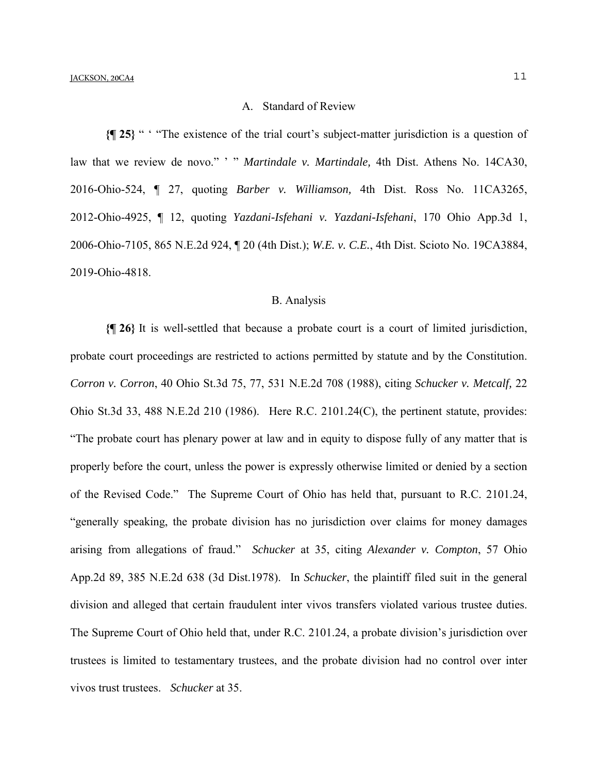#### A. Standard of Review

**{¶ 25}** " ' "The existence of the trial court's subject-matter jurisdiction is a question of law that we review de novo." ' " *Martindale v. Martindale,* 4th Dist. Athens No. 14CA30, 2016-Ohio-524, ¶ 27, quoting *Barber v. Williamson,* 4th Dist. Ross No. 11CA3265, 2012-Ohio-4925, ¶ 12, quoting *Yazdani-Isfehani v. Yazdani-Isfehani*, 170 Ohio App.3d 1, 2006-Ohio-7105, 865 N.E.2d 924, ¶ 20 (4th Dist.); *W.E. v. C.E.*, 4th Dist. Scioto No. 19CA3884, 2019-Ohio-4818.

### B. Analysis

**{¶ 26}** It is well-settled that because a probate court is a court of limited jurisdiction, probate court proceedings are restricted to actions permitted by statute and by the Constitution. *Corron v. Corron*, 40 Ohio St.3d 75, 77, 531 N.E.2d 708 (1988), citing *Schucker v. Metcalf,* 22 Ohio St.3d 33, 488 N.E.2d 210 (1986). Here R.C. 2101.24(C), the pertinent statute, provides: "The probate court has plenary power at law and in equity to dispose fully of any matter that is properly before the court, unless the power is expressly otherwise limited or denied by a section of the Revised Code." The Supreme Court of Ohio has held that, pursuant to R.C. 2101.24, "generally speaking, the probate division has no jurisdiction over claims for money damages arising from allegations of fraud." *Schucker* at 35, citing *Alexander v. Compton*, 57 Ohio App.2d 89, 385 N.E.2d 638 (3d Dist.1978). In *Schucker*, the plaintiff filed suit in the general division and alleged that certain fraudulent inter vivos transfers violated various trustee duties. The Supreme Court of Ohio held that, under R.C. 2101.24, a probate division's jurisdiction over trustees is limited to testamentary trustees, and the probate division had no control over inter vivos trust trustees. *Schucker* at 35.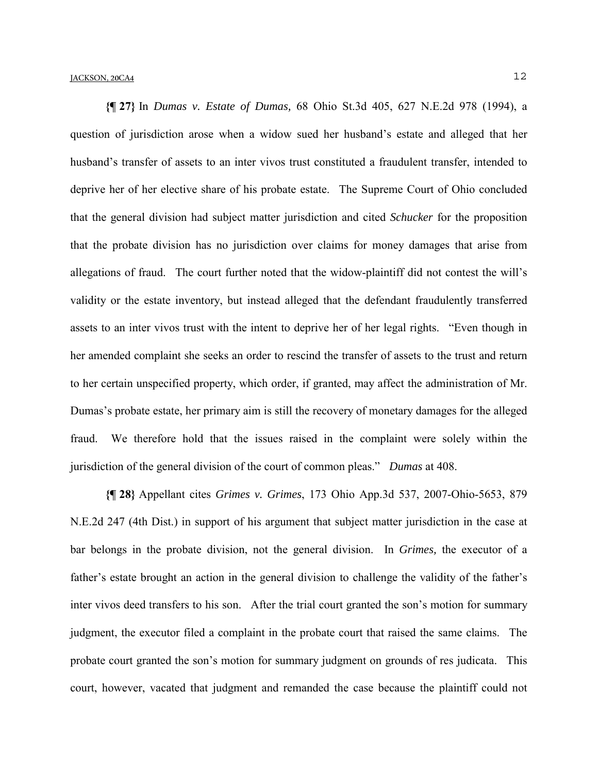**{¶ 27}** In *Dumas v. Estate of Dumas,* 68 Ohio St.3d 405, 627 N.E.2d 978 (1994), a question of jurisdiction arose when a widow sued her husband's estate and alleged that her

husband's transfer of assets to an inter vivos trust constituted a fraudulent transfer, intended to deprive her of her elective share of his probate estate. The Supreme Court of Ohio concluded that the general division had subject matter jurisdiction and cited *Schucker* for the proposition that the probate division has no jurisdiction over claims for money damages that arise from allegations of fraud. The court further noted that the widow-plaintiff did not contest the will's validity or the estate inventory, but instead alleged that the defendant fraudulently transferred assets to an inter vivos trust with the intent to deprive her of her legal rights. "Even though in her amended complaint she seeks an order to rescind the transfer of assets to the trust and return to her certain unspecified property, which order, if granted, may affect the administration of Mr. Dumas's probate estate, her primary aim is still the recovery of monetary damages for the alleged fraud. We therefore hold that the issues raised in the complaint were solely within the jurisdiction of the general division of the court of common pleas." *Dumas* at 408.

**{¶ 28}** Appellant cites *Grimes v. Grimes*, 173 Ohio App.3d 537, 2007-Ohio-5653, 879 N.E.2d 247 (4th Dist.) in support of his argument that subject matter jurisdiction in the case at bar belongs in the probate division, not the general division. In *Grimes,* the executor of a father's estate brought an action in the general division to challenge the validity of the father's inter vivos deed transfers to his son. After the trial court granted the son's motion for summary judgment, the executor filed a complaint in the probate court that raised the same claims. The probate court granted the son's motion for summary judgment on grounds of res judicata. This court, however, vacated that judgment and remanded the case because the plaintiff could not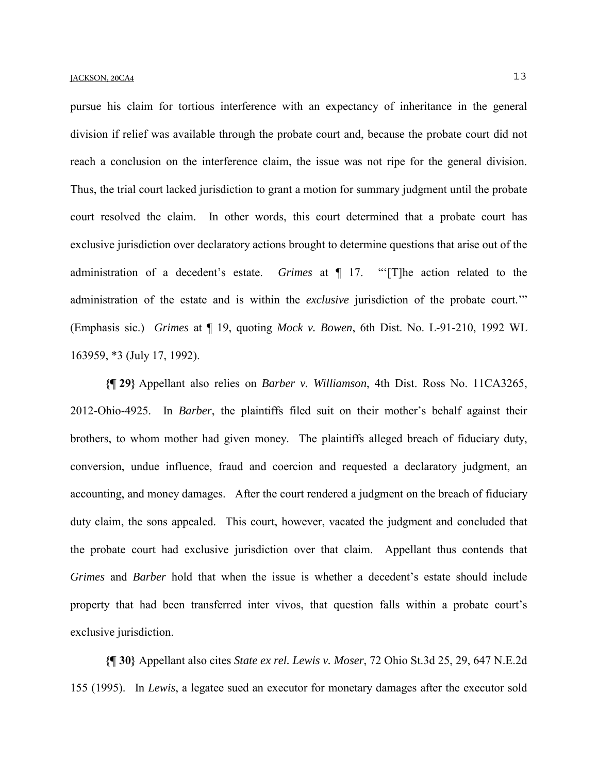pursue his claim for tortious interference with an expectancy of inheritance in the general division if relief was available through the probate court and, because the probate court did not reach a conclusion on the interference claim, the issue was not ripe for the general division. Thus, the trial court lacked jurisdiction to grant a motion for summary judgment until the probate court resolved the claim. In other words, this court determined that a probate court has exclusive jurisdiction over declaratory actions brought to determine questions that arise out of the administration of a decedent's estate. *Grimes* at ¶ 17. "'[T]he action related to the administration of the estate and is within the *exclusive* jurisdiction of the probate court.'" (Emphasis sic.) *Grimes* at ¶ 19, quoting *Mock v. Bowen*, 6th Dist. No. L-91-210, 1992 WL 163959, \*3 (July 17, 1992).

**{¶ 29}** Appellant also relies on *Barber v. Williamson*, 4th Dist. Ross No. 11CA3265, 2012-Ohio-4925. In *Barber*, the plaintiffs filed suit on their mother's behalf against their brothers, to whom mother had given money. The plaintiffs alleged breach of fiduciary duty, conversion, undue influence, fraud and coercion and requested a declaratory judgment, an accounting, and money damages. After the court rendered a judgment on the breach of fiduciary duty claim, the sons appealed. This court, however, vacated the judgment and concluded that the probate court had exclusive jurisdiction over that claim. Appellant thus contends that *Grimes* and *Barber* hold that when the issue is whether a decedent's estate should include property that had been transferred inter vivos, that question falls within a probate court's exclusive jurisdiction.

**{¶ 30}** Appellant also cites *State ex rel. Lewis v. Moser*, 72 Ohio St.3d 25, 29, 647 N.E.2d 155 (1995). In *Lewis*, a legatee sued an executor for monetary damages after the executor sold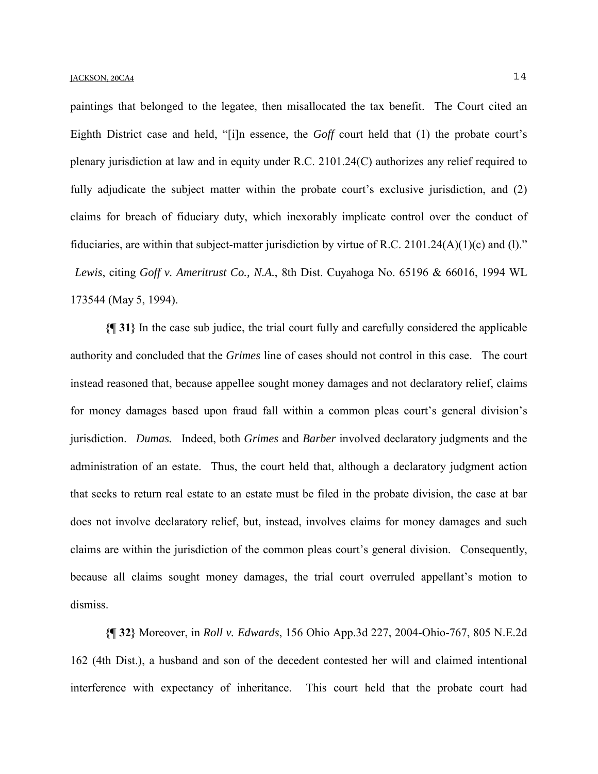paintings that belonged to the legatee, then misallocated the tax benefit. The Court cited an Eighth District case and held, "[i]n essence, the *Goff* court held that (1) the probate court's plenary jurisdiction at law and in equity under R.C. 2101.24(C) authorizes any relief required to fully adjudicate the subject matter within the probate court's exclusive jurisdiction, and (2) claims for breach of fiduciary duty, which inexorably implicate control over the conduct of fiduciaries, are within that subject-matter jurisdiction by virtue of R.C. 2101.24(A)(1)(c) and (1)." *Lewis*, citing *Goff v. Ameritrust Co., N.A.*, 8th Dist. Cuyahoga No. 65196 & 66016, 1994 WL 173544 (May 5, 1994).

**{¶ 31}** In the case sub judice, the trial court fully and carefully considered the applicable authority and concluded that the *Grimes* line of cases should not control in this case. The court instead reasoned that, because appellee sought money damages and not declaratory relief, claims for money damages based upon fraud fall within a common pleas court's general division's jurisdiction. *Dumas.* Indeed, both *Grimes* and *Barber* involved declaratory judgments and the administration of an estate. Thus, the court held that, although a declaratory judgment action that seeks to return real estate to an estate must be filed in the probate division, the case at bar does not involve declaratory relief, but, instead, involves claims for money damages and such claims are within the jurisdiction of the common pleas court's general division. Consequently, because all claims sought money damages, the trial court overruled appellant's motion to dismiss.

**{¶ 32}** Moreover, in *Roll v. Edwards*, 156 Ohio App.3d 227, 2004-Ohio-767, 805 N.E.2d 162 (4th Dist.), a husband and son of the decedent contested her will and claimed intentional interference with expectancy of inheritance. This court held that the probate court had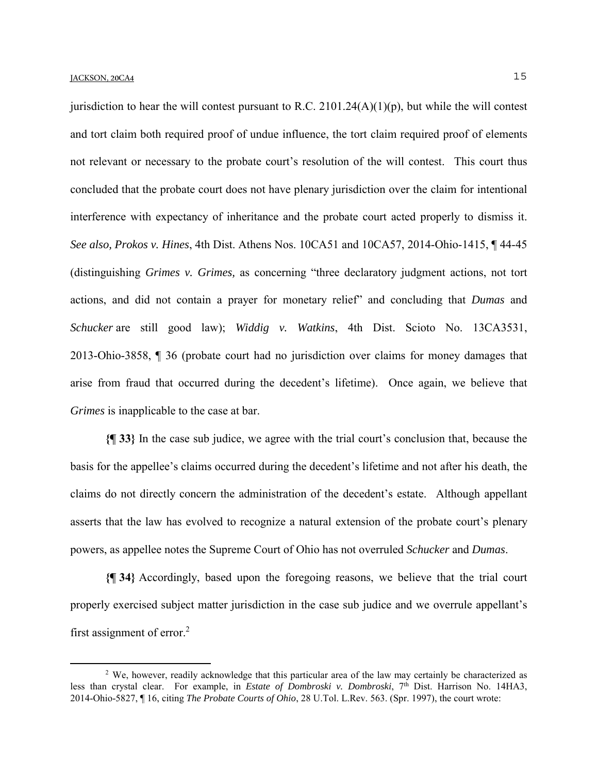jurisdiction to hear the will contest pursuant to R.C.  $2101.24(A)(1)(p)$ , but while the will contest and tort claim both required proof of undue influence, the tort claim required proof of elements not relevant or necessary to the probate court's resolution of the will contest. This court thus concluded that the probate court does not have plenary jurisdiction over the claim for intentional interference with expectancy of inheritance and the probate court acted properly to dismiss it. *See also, Prokos v. Hines*, 4th Dist. Athens Nos. 10CA51 and 10CA57, 2014-Ohio-1415, ¶ 44-45 (distinguishing *Grimes v. Grimes,* as concerning "three declaratory judgment actions, not tort actions, and did not contain a prayer for monetary relief" and concluding that *Dumas* and *Schucker* are still good law); *Widdig v. Watkins*, 4th Dist. Scioto No. 13CA3531, 2013-Ohio-3858, ¶ 36 (probate court had no jurisdiction over claims for money damages that arise from fraud that occurred during the decedent's lifetime). Once again, we believe that *Grimes* is inapplicable to the case at bar.

**{¶ 33}** In the case sub judice, we agree with the trial court's conclusion that, because the basis for the appellee's claims occurred during the decedent's lifetime and not after his death, the claims do not directly concern the administration of the decedent's estate. Although appellant asserts that the law has evolved to recognize a natural extension of the probate court's plenary powers, as appellee notes the Supreme Court of Ohio has not overruled *Schucker* and *Dumas*.

**{¶ 34}** Accordingly, based upon the foregoing reasons, we believe that the trial court properly exercised subject matter jurisdiction in the case sub judice and we overrule appellant's first assignment of error. $2$ 

 $\begin{array}{c|c}\n\hline\n\text{2}\n\end{array}$ <sup>2</sup> We, however, readily acknowledge that this particular area of the law may certainly be characterized as less than crystal clear. For example, in *Estate of Dombroski v. Dombroski*, 7th Dist. Harrison No. 14HA3, 2014-Ohio-5827, ¶ 16, citing *The Probate Courts of Ohio*, 28 U.Tol. L.Rev. 563. (Spr. 1997), the court wrote: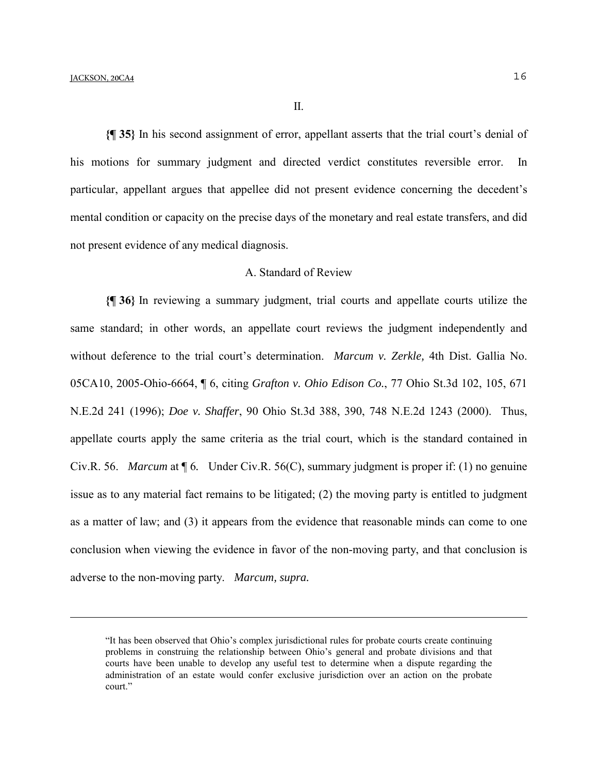$\overline{a}$ 

**{¶ 35}** In his second assignment of error, appellant asserts that the trial court's denial of his motions for summary judgment and directed verdict constitutes reversible error. In particular, appellant argues that appellee did not present evidence concerning the decedent's mental condition or capacity on the precise days of the monetary and real estate transfers, and did not present evidence of any medical diagnosis.

### A. Standard of Review

**{¶ 36}** In reviewing a summary judgment, trial courts and appellate courts utilize the same standard; in other words, an appellate court reviews the judgment independently and without deference to the trial court's determination. *Marcum v. Zerkle,* 4th Dist. Gallia No. 05CA10, 2005-Ohio-6664, ¶ 6, citing *Grafton v. Ohio Edison Co.*, 77 Ohio St.3d 102, 105, 671 N.E.2d 241 (1996); *Doe v. Shaffer*, 90 Ohio St.3d 388, 390, 748 N.E.2d 1243 (2000). Thus, appellate courts apply the same criteria as the trial court, which is the standard contained in Civ.R. 56. *Marcum* at ¶ 6*.* Under Civ.R. 56(C), summary judgment is proper if: (1) no genuine issue as to any material fact remains to be litigated; (2) the moving party is entitled to judgment as a matter of law; and (3) it appears from the evidence that reasonable minds can come to one conclusion when viewing the evidence in favor of the non-moving party, and that conclusion is adverse to the non-moving party. *Marcum, supra.*

<sup>&</sup>quot;It has been observed that Ohio's complex jurisdictional rules for probate courts create continuing problems in construing the relationship between Ohio's general and probate divisions and that courts have been unable to develop any useful test to determine when a dispute regarding the administration of an estate would confer exclusive jurisdiction over an action on the probate court."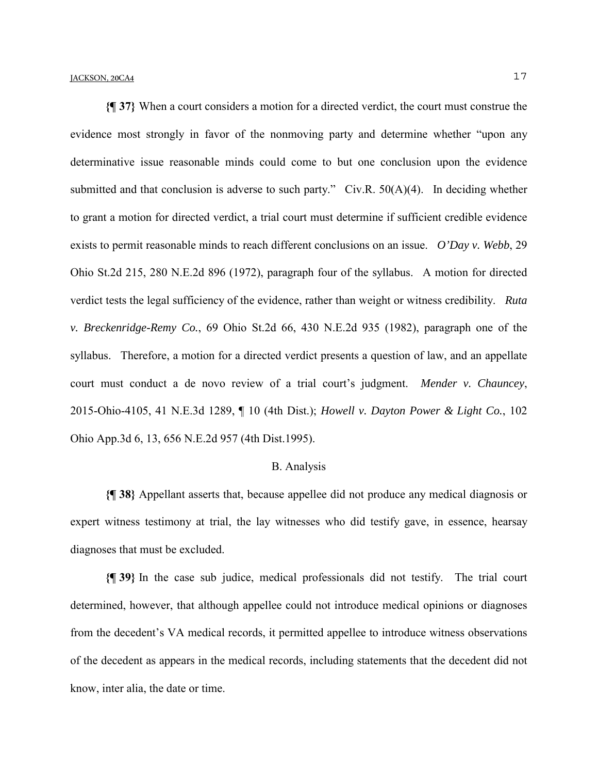**{¶ 37}** When a court considers a motion for a directed verdict, the court must construe the evidence most strongly in favor of the nonmoving party and determine whether "upon any determinative issue reasonable minds could come to but one conclusion upon the evidence submitted and that conclusion is adverse to such party." Civ.R. 50(A)(4). In deciding whether to grant a motion for directed verdict, a trial court must determine if sufficient credible evidence exists to permit reasonable minds to reach different conclusions on an issue. *O'Day v. Webb*, 29 Ohio St.2d 215, 280 N.E.2d 896 (1972), paragraph four of the syllabus. A motion for directed verdict tests the legal sufficiency of the evidence, rather than weight or witness credibility. *Ruta v. Breckenridge-Remy Co.*, 69 Ohio St.2d 66, 430 N.E.2d 935 (1982), paragraph one of the syllabus. Therefore, a motion for a directed verdict presents a question of law, and an appellate court must conduct a de novo review of a trial court's judgment. *Mender v. Chauncey*, 2015-Ohio-4105, 41 N.E.3d 1289, ¶ 10 (4th Dist.); *Howell v. Dayton Power & Light Co.*, 102 Ohio App.3d 6, 13, 656 N.E.2d 957 (4th Dist.1995).

#### B. Analysis

**{¶ 38}** Appellant asserts that, because appellee did not produce any medical diagnosis or expert witness testimony at trial, the lay witnesses who did testify gave, in essence, hearsay diagnoses that must be excluded.

**{¶ 39}** In the case sub judice, medical professionals did not testify. The trial court determined, however, that although appellee could not introduce medical opinions or diagnoses from the decedent's VA medical records, it permitted appellee to introduce witness observations of the decedent as appears in the medical records, including statements that the decedent did not know, inter alia, the date or time.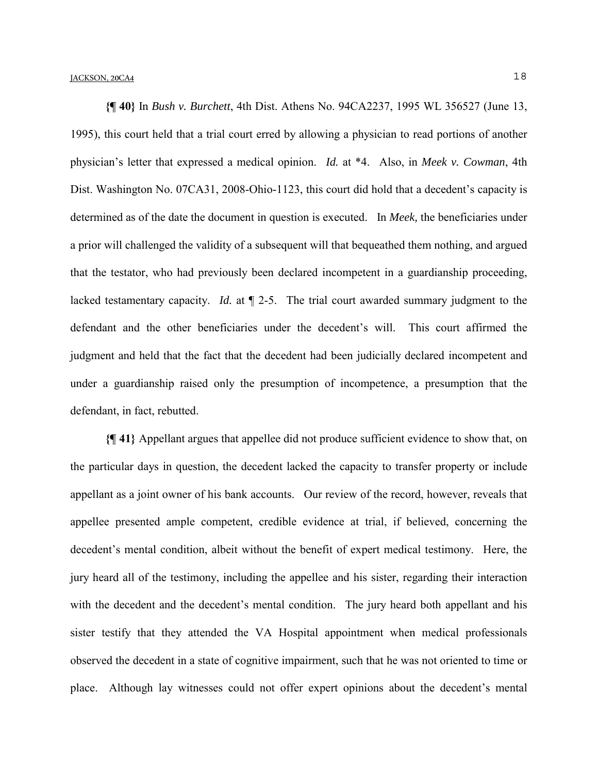**{¶ 40}** In *Bush v. Burchett*, 4th Dist. Athens No. 94CA2237, 1995 WL 356527 (June 13, 1995), this court held that a trial court erred by allowing a physician to read portions of another physician's letter that expressed a medical opinion. *Id.* at \*4. Also, in *Meek v. Cowman*, 4th Dist. Washington No. 07CA31, 2008-Ohio-1123, this court did hold that a decedent's capacity is determined as of the date the document in question is executed. In *Meek,* the beneficiaries under a prior will challenged the validity of a subsequent will that bequeathed them nothing, and argued that the testator, who had previously been declared incompetent in a guardianship proceeding, lacked testamentary capacity. *Id.* at ¶ 2-5. The trial court awarded summary judgment to the defendant and the other beneficiaries under the decedent's will. This court affirmed the judgment and held that the fact that the decedent had been judicially declared incompetent and under a guardianship raised only the presumption of incompetence, a presumption that the defendant, in fact, rebutted.

**{¶ 41}** Appellant argues that appellee did not produce sufficient evidence to show that, on the particular days in question, the decedent lacked the capacity to transfer property or include appellant as a joint owner of his bank accounts. Our review of the record, however, reveals that appellee presented ample competent, credible evidence at trial, if believed, concerning the decedent's mental condition, albeit without the benefit of expert medical testimony. Here, the jury heard all of the testimony, including the appellee and his sister, regarding their interaction with the decedent and the decedent's mental condition. The jury heard both appellant and his sister testify that they attended the VA Hospital appointment when medical professionals observed the decedent in a state of cognitive impairment, such that he was not oriented to time or place. Although lay witnesses could not offer expert opinions about the decedent's mental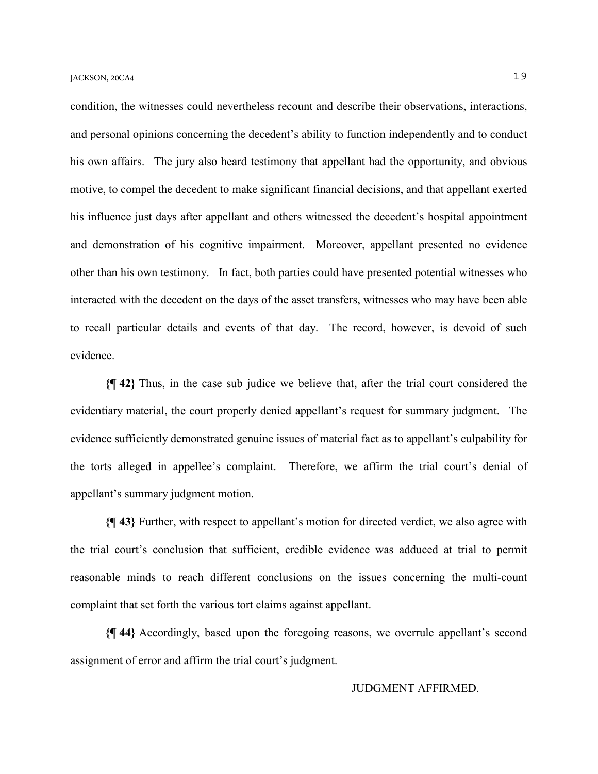condition, the witnesses could nevertheless recount and describe their observations, interactions, and personal opinions concerning the decedent's ability to function independently and to conduct his own affairs. The jury also heard testimony that appellant had the opportunity, and obvious motive, to compel the decedent to make significant financial decisions, and that appellant exerted his influence just days after appellant and others witnessed the decedent's hospital appointment and demonstration of his cognitive impairment. Moreover, appellant presented no evidence other than his own testimony. In fact, both parties could have presented potential witnesses who interacted with the decedent on the days of the asset transfers, witnesses who may have been able to recall particular details and events of that day. The record, however, is devoid of such evidence.

**{¶ 42}** Thus, in the case sub judice we believe that, after the trial court considered the evidentiary material, the court properly denied appellant's request for summary judgment. The evidence sufficiently demonstrated genuine issues of material fact as to appellant's culpability for the torts alleged in appellee's complaint. Therefore, we affirm the trial court's denial of appellant's summary judgment motion.

**{¶ 43}** Further, with respect to appellant's motion for directed verdict, we also agree with the trial court's conclusion that sufficient, credible evidence was adduced at trial to permit reasonable minds to reach different conclusions on the issues concerning the multi-count complaint that set forth the various tort claims against appellant.

**{¶ 44}** Accordingly, based upon the foregoing reasons, we overrule appellant's second assignment of error and affirm the trial court's judgment.

### JUDGMENT AFFIRMED.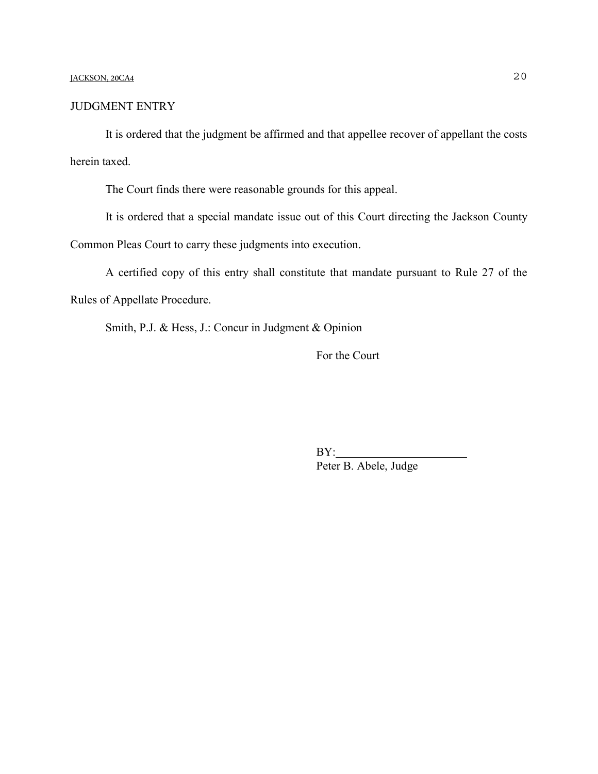#### JUDGMENT ENTRY

It is ordered that the judgment be affirmed and that appellee recover of appellant the costs herein taxed.

The Court finds there were reasonable grounds for this appeal.

It is ordered that a special mandate issue out of this Court directing the Jackson County

Common Pleas Court to carry these judgments into execution.

A certified copy of this entry shall constitute that mandate pursuant to Rule 27 of the Rules of Appellate Procedure.

Smith, P.J. & Hess, J.: Concur in Judgment & Opinion

For the Court

BY: Peter B. Abele, Judge